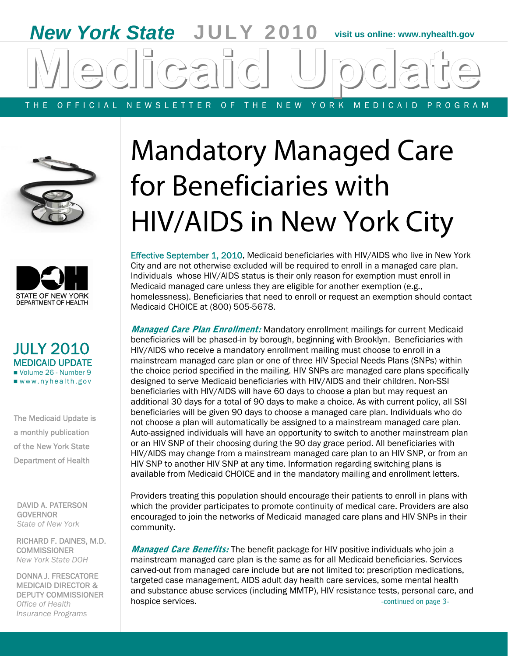# *New York State* **JULY 2010 visit us online: www.nyhealth.gov**  THE OFFICIAL NEWSLETTER OF THE NEW YORK MEDICAID PROGRAM





## JULY 2010 MEDICAID UPDATE Volume 26 - Number 9 www.nyhealth.gov

The Medicaid Update is a monthly publication of the New York State Department of Health

 GOVERNOR DAVID A. PATERSON *State of New York* 

RICHARD F. DAINES, M.D. **COMMISSIONER** *New York State DOH* 

DONNA J. FRESCATORE MEDICAID DIRECTOR & DEPUTY COMMISSIONER *Office of Health Insurance Programs* 

# Mandatory Managed Care for Beneficiaries with HIV/AIDS in New York City

Effective September 1, 2010, Medicaid beneficiaries with HIV/AIDS who live in New York City and are not otherwise excluded will be required to enroll in a managed care plan. Individuals whose HIV/AIDS status is their only reason for exemption must enroll in Medicaid managed care unless they are eligible for another exemption (e.g., homelessness). Beneficiaries that need to enroll or request an exemption should contact Medicaid CHOICE at (800) 505-5678.

**Managed Care Plan Enrollment:** Mandatory enrollment mailings for current Medicaid beneficiaries will be phased-in by borough, beginning with Brooklyn. Beneficiaries with HIV/AIDS who receive a mandatory enrollment mailing must choose to enroll in a mainstream managed care plan or one of three HIV Special Needs Plans (SNPs) within the choice period specified in the mailing. HIV SNPs are managed care plans specifically designed to serve Medicaid beneficiaries with HIV/AIDS and their children. Non-SSI beneficiaries with HIV/AIDS will have 60 days to choose a plan but may request an additional 30 days for a total of 90 days to make a choice. As with current policy, all SSI beneficiaries will be given 90 days to choose a managed care plan. Individuals who do not choose a plan will automatically be assigned to a mainstream managed care plan. Auto-assigned individuals will have an opportunity to switch to another mainstream plan or an HIV SNP of their choosing during the 90 day grace period. All beneficiaries with HIV/AIDS may change from a mainstream managed care plan to an HIV SNP, or from an HIV SNP to another HIV SNP at any time. Information regarding switching plans is available from Medicaid CHOICE and in the mandatory mailing and enrollment letters.

Providers treating this population should encourage their patients to enroll in plans with which the provider participates to promote continuity of medical care. Providers are also encouraged to join the networks of Medicaid managed care plans and HIV SNPs in their community.

**Managed Care Benefits:** The benefit package for HIV positive individuals who join a mainstream managed care plan is the same as for all Medicaid beneficiaries. Services carved-out from managed care include but are not limited to: prescription medications, targeted case management, AIDS adult day health care services, some mental health and substance abuse services (including MMTP), HIV resistance tests, personal care, and hospice services. **All any of the services** of the services of the services of the services of the services of the services of the services of the services of the services of the services of the services of the services of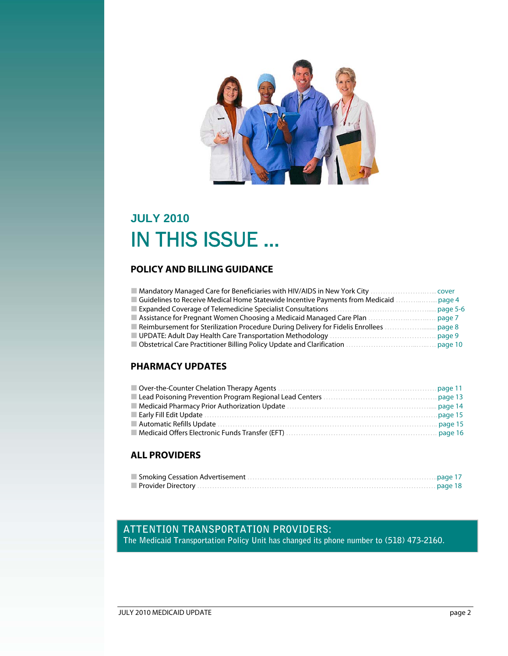

## **JULY 2010**  IN THIS ISSUE …

## **POLICY AND BILLING GUIDANCE**

| Mandatory Managed Care for Beneficiaries with HIV/AIDS in New York City         | cover    |
|---------------------------------------------------------------------------------|----------|
| Guidelines to Receive Medical Home Statewide Incentive Payments from Medicaid   | page 4   |
|                                                                                 | page 5-6 |
| Assistance for Pregnant Women Choosing a Medicaid Managed Care Plan             | page 7   |
| Reimbursement for Sterilization Procedure During Delivery for Fidelis Enrollees | page 8   |
| UPDATE: Adult Day Health Care Transportation Methodology                        | page 9   |
| Obstetrical Care Practitioner Billing Policy Update and Clarification           | page 10  |

## **PHARMACY UPDATES**

## **ALL PROVIDERS**

## **ATTENTION TRANSPORTATION PROVIDERS:**

**The Medicaid Transportation Policy Unit has changed its phone number to (518) 473-2160.**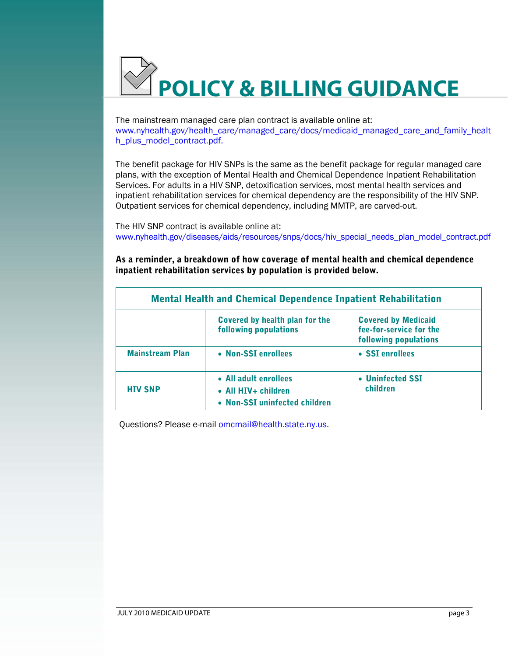

The mainstream managed care plan contract is available online at: www.nyhealth.gov/health\_care/managed\_care/docs/medicaid\_managed\_care\_and\_family\_healt h\_plus\_model\_contract.pdf.

The benefit package for HIV SNPs is the same as the benefit package for regular managed care plans, with the exception of Mental Health and Chemical Dependence Inpatient Rehabilitation Services. For adults in a HIV SNP, detoxification services, most mental health services and inpatient rehabilitation services for chemical dependency are the responsibility of the HIV SNP. Outpatient services for chemical dependency, including MMTP, are carved-out.

The HIV SNP contract is available online at: www.nyhealth.gov/diseases/aids/resources/snps/docs/hiv\_special\_needs\_plan\_model\_contract.pdf

As a reminder, a breakdown of how coverage of mental health and chemical dependence inpatient rehabilitation services by population is provided below.

| <b>Mental Health and Chemical Dependence Inpatient Rehabilitation</b> |                                                                               |                                                                                |  |
|-----------------------------------------------------------------------|-------------------------------------------------------------------------------|--------------------------------------------------------------------------------|--|
|                                                                       | Covered by health plan for the<br>following populations                       | <b>Covered by Medicaid</b><br>fee-for-service for the<br>following populations |  |
| <b>Mainstream Plan</b>                                                | • Non-SSI enrollees                                                           | • SSI enrollees                                                                |  |
| <b>HIV SNP</b>                                                        | • All adult enrollees<br>• All HIV+ children<br>• Non-SSI uninfected children | • Uninfected SSI<br>children                                                   |  |

Questions? Please e-mail omcmail@health.state.ny.us.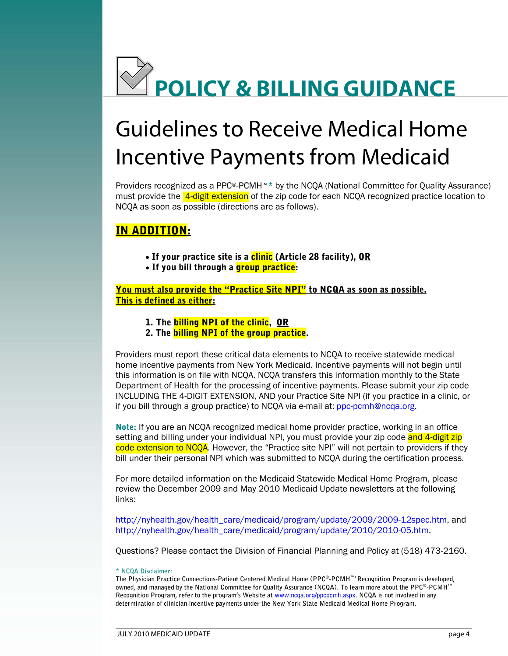

## Guidelines to Receive Medical Home Incentive Payments from Medicaid

Providers recognized as a PPC®-PCMH™ \* by the NCQA (National Committee for Quality Assurance) must provide the **4-digit extension** of the zip code for each NCQA recognized practice location to NCQA as soon as possible (directions are as follows).

## IN ADDITION:

- If your practice site is a <mark>clinic</mark> (Article 28 facility), OR
- If you bill through a <mark>group practice</mark>:

You must also provide the "Practice Site NPI" to NCQA as soon as possible. This is defined as either:

- 1. The **billing NPI of the clinic**, OR
- 2. The **billing NPI of the group practice**.

Providers must report these critical data elements to NCQA to receive statewide medical home incentive payments from New York Medicaid. Incentive payments will not begin until this information is on file with NCQA. NCQA transfers this information monthly to the State Department of Health for the processing of incentive payments. Please submit your zip code INCLUDING THE 4-DIGIT EXTENSION, AND your Practice Site NPI (if you practice in a clinic, or if you bill through a group practice) to NCQA via e-mail at: ppc-pcmh@ncqa.org.

Note: If you are an NCQA recognized medical home provider practice, working in an office setting and billing under your individual NPI, you must provide your zip code and 4-digit zip code extension to NCOA. However, the "Practice site NPI" will not pertain to providers if they bill under their personal NPI which was submitted to NCQA during the certification process.

For more detailed information on the Medicaid Statewide Medical Home Program, please review the December 2009 and May 2010 Medicaid Update newsletters at the following links:

http://nyhealth.gov/health\_care/medicaid/program/update/2009/2009-12spec.htm, and http://nyhealth.gov/health\_care/medicaid/program/update/2010/2010-05.htm.

Questions? Please contact the Division of Financial Planning and Policy at (518) 473-2160.

**\* NCQA Disclaimer:** 

**The Physician Practice Connections-Patient Centered Medical Home (PPC®-PCMH™) Recognition Program is developed, owned, and managed by the National Committee for Quality Assurance (NCQA). To learn more about the PPC®-PCMH™ Recognition Program, refer to the program's Website at www.ncqa.org/ppcpcmh.aspx. NCQA is not involved in any determination of clinician incentive payments under the New York State Medicaid Medical Home Program.**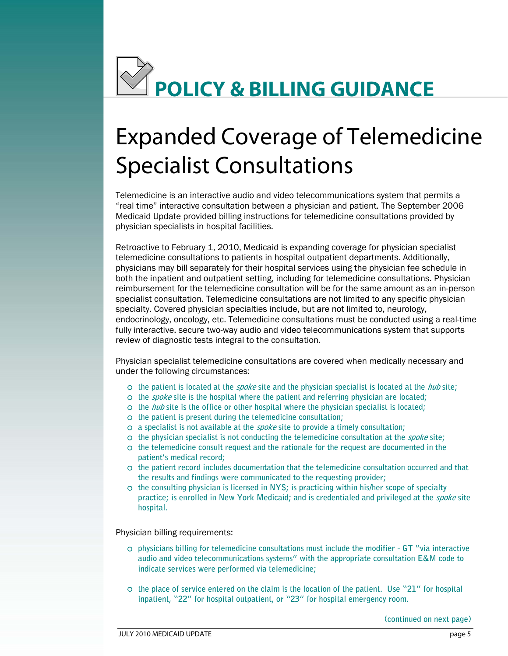

# Expanded Coverage of Telemedicine Specialist Consultations

Telemedicine is an interactive audio and video telecommunications system that permits a "real time" interactive consultation between a physician and patient. The September 2006 Medicaid Update provided billing instructions for telemedicine consultations provided by physician specialists in hospital facilities.

review of diagnostic tests integral to the consultation. Retroactive to February 1, 2010, Medicaid is expanding coverage for physician specialist telemedicine consultations to patients in hospital outpatient departments. Additionally, physicians may bill separately for their hospital services using the physician fee schedule in both the inpatient and outpatient setting, including for telemedicine consultations. Physician reimbursement for the telemedicine consultation will be for the same amount as an in-person specialist consultation. Telemedicine consultations are not limited to any specific physician specialty. Covered physician specialties include, but are not limited to, neurology, endocrinology, oncology, etc. Telemedicine consultations must be conducted using a real-time fully interactive, secure two-way audio and video telecommunications system that supports

Physician specialist telemedicine consultations are covered when medically necessary and under the following circumstances:

- { **the patient is located at the spoke site and the physician specialist is located at the hub site;**
- { **the spoke site is the hospital where the patient and referring physician are located;**
- { **the hub site is the office or other hospital where the physician specialist is located;**
- { **the patient is present during the telemedicine consultation;**
- { **a specialist is not available at the spoke site to provide a timely consultation;**
- { **the physician specialist is not conducting the telemedicine consultation at the spoke site;**
- $\circ$  the telemedicine consult request and the rationale for the request are documented in the **patient's medical record;**
- { **the patient record includes documentation that the telemedicine consultation occurred and that the results and findings were communicated to the requesting provider;**
- $\circ$  the consulting physician is licensed in NYS; is practicing within his/her scope of specialty  **practice; is enrolled in New York Medicaid; and is credentialed and privileged at the spoke site hospital.**

Physician billing requirements:

- **audio and video telecommunications systems" with the appropriate consultation E&M code to**   $\circ$  physicians billing for telemedicine consultations must include the modifier - GT "via interactive" **indicate services were performed via telemedicine;**
- $\circ$  the place of service entered on the claim is the location of the patient. Use "21" for hospital **inpatient, "22" for hospital outpatient, or "23" for hospital emergency room.**

**(continued on next page)**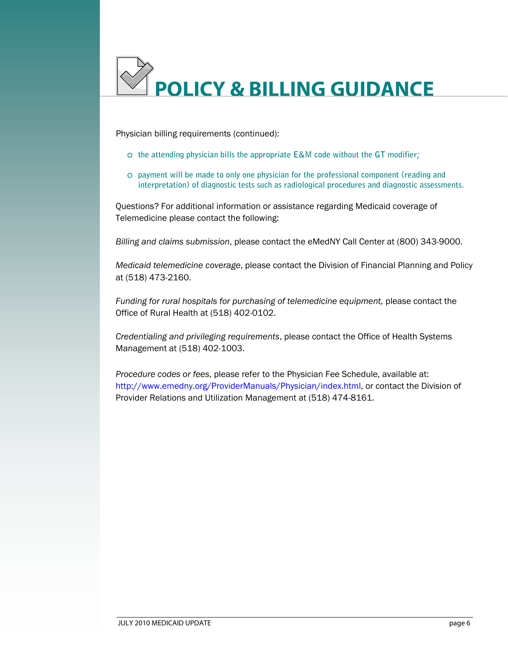

Physician billing requirements (continued):

- { **the attending physician bills the appropriate E&M code without the GT modifier;**
- **interpretation) of diagnostic tests such as radiological procedures and diagnostic assessments.**   $\circ$  payment will be made to only one physician for the professional component (reading and

Questions? For additional information or assistance regarding Medicaid coverage of Telemedicine please contact the following:

*Billing and claims submission*, please contact the eMedNY Call Center at (800) 343-9000.

*Medicaid telemedicine coverage*, please contact the Division of Financial Planning and Policy at (518) 473-2160.

*Funding for rural hospitals for purchasing of telemedicine equipment,* please contact the Office of Rural Health at (518) 402-0102.

*Credentialing and privileging requirements*, please contact the Office of Health Systems Management at (518) 402-1003.

*Procedure codes or fees*, please refer to the Physician Fee Schedule, available at: http://www.emedny.org/ProviderManuals/Physician/index.html, or contact the Division of Provider Relations and Utilization Management at (518) 474-8161.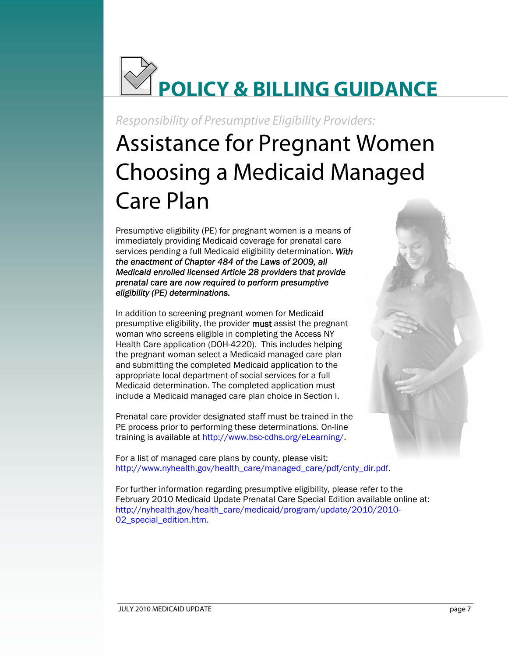

Responsibility of Presumptive Eligibility Providers:

# Assistance for Pregnant Women Choosing a Medicaid Managed Care Plan

Presumptive eligibility (PE) for pregnant women is a means of immediately providing Medicaid coverage for prenatal care services pending a full Medicaid eligibility determination. *With the enactment of Chapter 484 of the Laws of 2009, all Medicaid enrolled licensed Article 28 providers that provide prenatal care are now required to perform presumptive eligibility (PE) determinations.* 

In addition to screening pregnant women for Medicaid presumptive eligibility, the provider must assist the pregnant woman who screens eligible in completing the Access NY Health Care application (DOH-4220). This includes helping the pregnant woman select a Medicaid managed care plan and submitting the completed Medicaid application to the appropriate local department of social services for a full Medicaid determination. The completed application must include a Medicaid managed care plan choice in Section I.

Prenatal care provider designated staff must be trained in the PE process prior to performing these determinations. On-line training is available at http://www.bsc-cdhs.org/eLearning/.

For a list of managed care plans by county, please visit: http://www.nyhealth.gov/health\_care/managed\_care/pdf/cnty\_dir.pdf.

 For further information regarding presumptive eligibility, please refer to the February 2010 Medicaid Update Prenatal Care Special Edition available online at: http://nyhealth.gov/health\_care/medicaid/program/update/2010/2010 02\_special\_edition.htm.

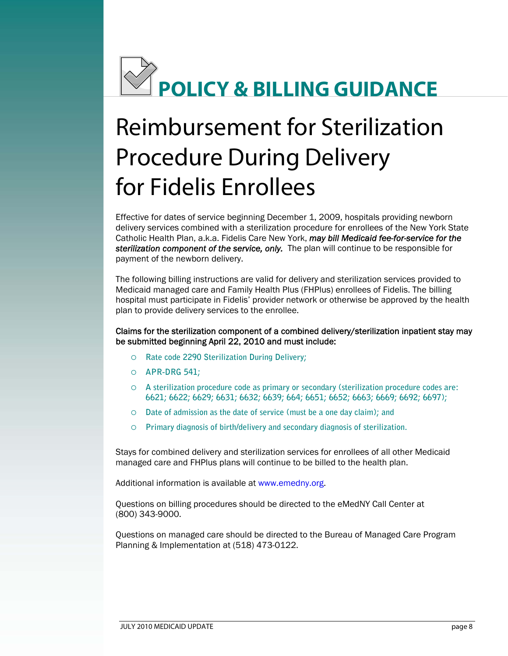

# Reimbursement for Sterilization Procedure During Delivery for Fidelis Enrollees

Effective for dates of service beginning December 1, 2009, hospitals providing newborn delivery services combined with a sterilization procedure for enrollees of the New York State Catholic Health Plan, a.k.a. Fidelis Care New York, *may bill Medicaid fee-for-service for the sterilization component of the service, only.* The plan will continue to be responsible for payment of the newborn delivery.

The following billing instructions are valid for delivery and sterilization services provided to Medicaid managed care and Family Health Plus (FHPlus) enrollees of Fidelis. The billing hospital must participate in Fidelis' provider network or otherwise be approved by the health plan to provide delivery services to the enrollee.

### be submitted beginning April 22, 2010 and must include: Claims for the sterilization component of a combined delivery/sterilization inpatient stay may

- { **Rate code 2290 Sterilization During Delivery;**
- { **APR-DRG 541;**
- O A sterilization procedure code as primary or secondary (sterilization procedure codes are: { **A sterilization procedure code as primary or secondary (sterilization procedure codes are: 6621; 6622; 6629; 6631; 6632; 6639; 664; 6651; 6652; 6663; 6669; 6692; 6697);**
- $\circ$  Date of admission as the date of service (must be a one day claim); and
- { **Primary diagnosis of birth/delivery and secondary diagnosis of sterilization.**

Stays for combined delivery and sterilization services for enrollees of all other Medicaid managed care and FHPlus plans will continue to be billed to the health plan.

Additional information is available at www.emedny.org.

Questions on billing procedures should be directed to the eMedNY Call Center at (800) 343-9000.

Questions on managed care should be directed to the Bureau of Managed Care Program Planning & Implementation at (518) 473-0122.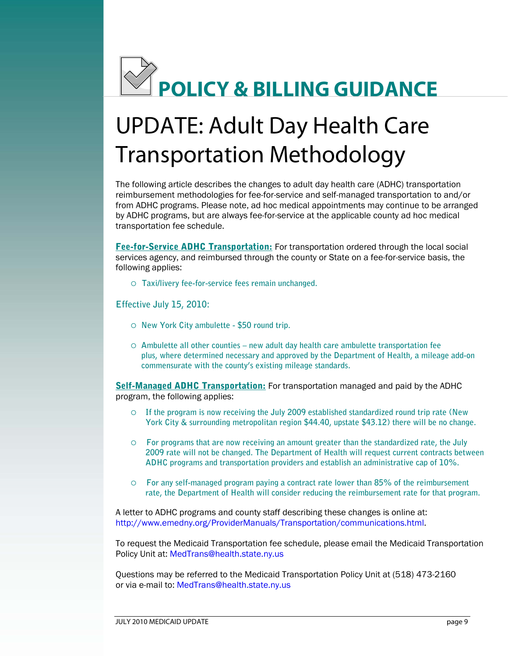

# UPDATE: Adult Day Health Care Transportation Methodology

The following article describes the changes to adult day health care (ADHC) transportation reimbursement methodologies for fee-for-service and self-managed transportation to and/or from ADHC programs. Please note, ad hoc medical appointments may continue to be arranged by ADHC programs, but are always fee-for-service at the applicable county ad hoc medical transportation fee schedule.

Fee-for-Service ADHC Transportation: For transportation ordered through the local social services agency, and reimbursed through the county or State on a fee-for-service basis, the following applies:

{ **Taxi/livery fee-for-service fees remain unchanged.** 

## **Effective July 15, 2010:**

- { **New York City ambulette \$50 round trip.**
- { **Ambulette all other counties new adult day health care ambulette transportation fee plus, where determined necessary and approved by the Department of Health, a mileage add-on commensurate with the county's existing mileage standards.**

Self-Managed ADHC Transportation: For transportation managed and paid by the ADHC program, the following applies:

- $\circ$  If the program is now receiving the July 2009 established standardized round trip rate (New **York City & surrounding metropolitan region \$44.40, upstate \$43.12) there will be no change.**
- { **For programs that are now receiving an amount greater than the standardized rate, the July ADHC programs and transportation providers and establish an administrative cap of 10%. 2009 rate will not be changed. The Department of Health will request current contracts between**
- { **For any self-managed program paying a contract rate lower than 85% of the reimbursement rate, the Department of Health will consider reducing the reimbursement rate for that program.**

A letter to ADHC programs and county staff describing these changes is online at: http://www.emedny.org/ProviderManuals/Transportation/communications.html.

To request the Medicaid Transportation fee schedule, please email the Medicaid Transportation Policy Unit at: MedTrans@health.state.ny.us

Questions may be referred to the Medicaid Transportation Policy Unit at (518) 473-2160 or via e-mail to: MedTrans@health.state.ny.us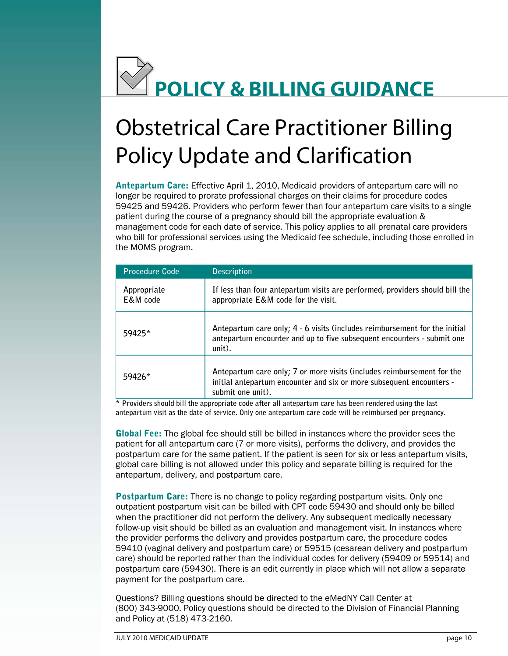

## Obstetrical Care Practitioner Billing Policy Update and Clarification

Antepartum Care: Effective April 1, 2010, Medicaid providers of antepartum care will no longer be required to prorate professional charges on their claims for procedure codes 59425 and 59426. Providers who perform fewer than four antepartum care visits to a single patient during the course of a pregnancy should bill the appropriate evaluation & management code for each date of service. This policy applies to all prenatal care providers who bill for professional services using the Medicaid fee schedule, including those enrolled in the MOMS program.

| <b>Procedure Code</b>   | <b>Description</b>                                                                                                                                                  |
|-------------------------|---------------------------------------------------------------------------------------------------------------------------------------------------------------------|
| Appropriate<br>E&M code | If less than four antepartum visits are performed, providers should bill the<br>appropriate E&M code for the visit.                                                 |
| 59425*                  | Antepartum care only; 4 - 6 visits (includes reimbursement for the initial<br>antepartum encounter and up to five subsequent encounters - submit one<br>$unit)$ .   |
| 59426*                  | Antepartum care only; 7 or more visits (includes reimbursement for the<br>initial antepartum encounter and six or more subsequent encounters -<br>submit one unit). |

**\* Providers should bill the appropriate code after all antepartum care has been rendered using the last antepartum visit as the date of service. Only one antepartum care code will be reimbursed per pregnancy.** 

Global Fee: The global fee should still be billed in instances where the provider sees the patient for all antepartum care (7 or more visits), performs the delivery, and provides the postpartum care for the same patient. If the patient is seen for six or less antepartum visits, global care billing is not allowed under this policy and separate billing is required for the antepartum, delivery, and postpartum care.

**Postpartum Care:** There is no change to policy regarding postpartum visits. Only one outpatient postpartum visit can be billed with CPT code 59430 and should only be billed when the practitioner did not perform the delivery. Any subsequent medically necessary follow-up visit should be billed as an evaluation and management visit. In instances where the provider performs the delivery and provides postpartum care, the procedure codes 59410 (vaginal delivery and postpartum care) or 59515 (cesarean delivery and postpartum care) should be reported rather than the individual codes for delivery (59409 or 59514) and postpartum care (59430). There is an edit currently in place which will not allow a separate payment for the postpartum care.

Questions? Billing questions should be directed to the eMedNY Call Center at (800) 343-9000. Policy questions should be directed to the Division of Financial Planning and Policy at (518) 473-2160.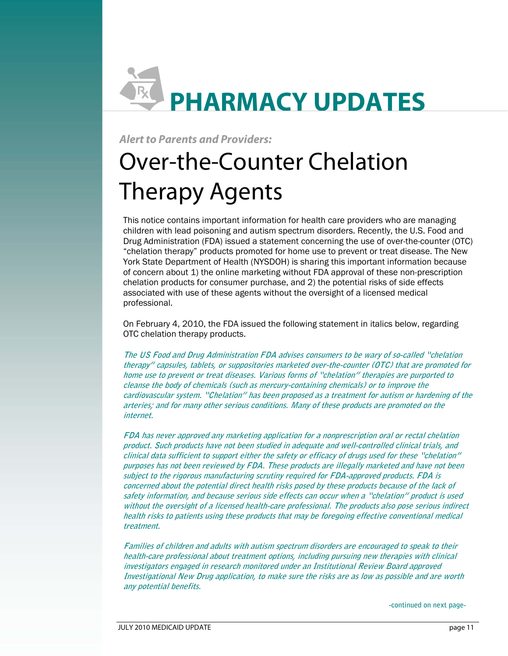# **PHARMACY UPDATES**

## **Alert to Parents and Providers:**

# Therapy Agents Over-the-Counter Chelation

 professional. This notice contains important information for health care providers who are managing children with lead poisoning and autism spectrum disorders. Recently, the U.S. Food and Drug Administration (FDA) issued a statement concerning the use of over-the-counter (OTC) "chelation therapy" products promoted for home use to prevent or treat disease. The New York State Department of Health (NYSDOH) is sharing this important information because of concern about 1) the online marketing without FDA approval of these non-prescription chelation products for consumer purchase, and 2) the potential risks of side effects associated with use of these agents without the oversight of a licensed medical

On February 4, 2010, the FDA issued the following statement in italics below, regarding OTC chelation therapy products.

 **cardiovascular system. "Chelation" has been proposed as a treatment for autism or hardening of the arteries; and for many other serious conditions. Many of these products are promoted on the The US Food and Drug Administration FDA advises consumers to be wary of so-called "chelation therapy" capsules, tablets, or suppositories marketed over-the-counter (OTC) that are promoted for home use to prevent or treat diseases. Various forms of "chelation" therapies are purported to cleanse the body of chemicals (such as mercury-containing chemicals) or to improve the internet.** 

 **product. Such products have not been studied in adequate and well-controlled clinical trials, and clinical data sufficient to support either the safety or efficacy of drugs used for these "chelation" purposes has not been reviewed by FDA. These products are illegally marketed and have not been subject to the rigorous manufacturing scrutiny required for FDA-approved products. FDA is concerned about the potential direct health risks posed by these products because of the lack of without the oversight of a licensed health-care professional. The products also pose serious indirect health risks to patients using these products that may be foregoing effective conventional medical FDA has never approved any marketing application for a nonprescription oral or rectal chelation safety information, and because serious side effects can occur when a "chelation" product is used treatment.** 

 **Families of children and adults with autism spectrum disorders are encouraged to speak to their Investigational New Drug application, to make sure the risks are as low as possible and are worth any potential benefits. health-care professional about treatment options, including pursuing new therapies with clinical investigators engaged in research monitored under an Institutional Review Board approved** 

**-continued on next page-**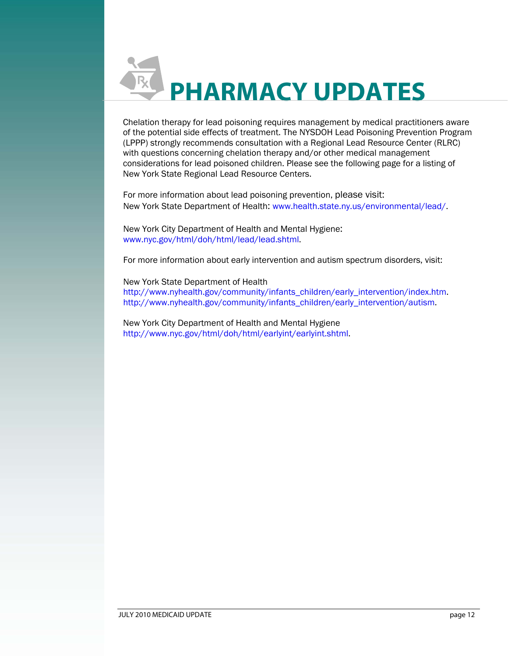

Chelation therapy for lead poisoning requires management by medical practitioners aware of the potential side effects of treatment. The NYSDOH Lead Poisoning Prevention Program (LPPP) strongly recommends consultation with a Regional Lead Resource Center (RLRC) with questions concerning chelation therapy and/or other medical management considerations for lead poisoned children. Please see the following page for a listing of New York State Regional Lead Resource Centers.

For more information about lead poisoning prevention, please visit: New York State Department of Health: www.health.state.ny.us/environmental/lead/.

New York City Department of Health and Mental Hygiene: www.nyc.gov/html/doh/html/lead/lead.shtml.

For more information about early intervention and autism spectrum disorders, visit:

New York State Department of Health http://www.nyhealth.gov/community/infants\_children/early\_intervention/index.htm. http://www.nyhealth.gov/community/infants\_children/early\_intervention/autism.

New York City Department of Health and Mental Hygiene http://www.nyc.gov/html/doh/html/earlyint/earlyint.shtml.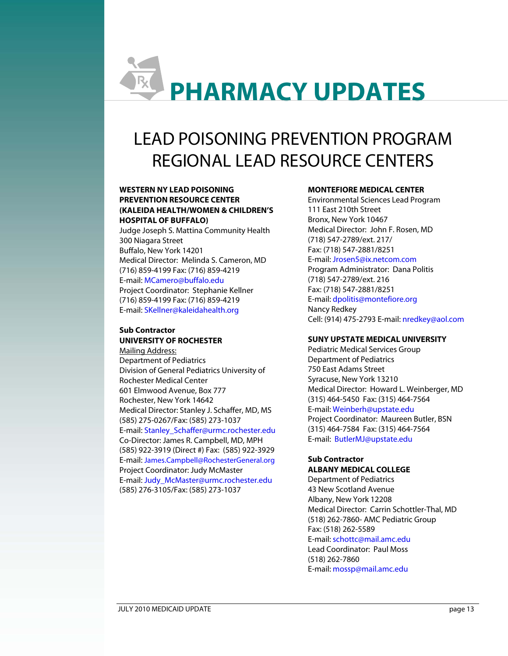# **PHARMACY UPDATES**

## LEAD POISONING PREVENTION PROGRAM REGIONAL LEAD RESOURCE CENTERS

#### **WESTERN NY LEAD POISONING PREVENTION RESOURCE CENTER (KALEIDA HEALTH/WOMEN & CHILDREN'S HOSPITAL OF BUFFALO)**

Judge Joseph S. Mattina Community Health 300 Niagara Street Buffalo, New York 14201 Medical Director: Melinda S. Cameron, MD (716) 859-4199 Fax: (716) 859-4219 E-mail: MCamero@buffalo.edu Project Coordinator: Stephanie Kellner (716) 859-4199 Fax: (716) 859-4219 E-mail: SKellner@kaleidahealth.org

## **Sub Contractor UNIVERSITY OF ROCHESTER**

Medical Director: Stanley J. Schaffer, MD, MS<br>(585) 275-0267/Fax: (585) 273-1037 Mailing Address: Department of Pediatrics Division of General Pediatrics University of Rochester Medical Center 601 Elmwood Avenue, Box 777 Rochester, New York 14642 E-mail: Stanley\_Schaffer@urmc.rochester.edu Co-Director: James R. Campbell, MD, MPH (585) 922-3919 (Direct #) Fax: (585) 922-3929 E-mail: James.Campbell@RochesterGeneral.org

Project Coordinator: Judy McMaster E-mail: Judy\_McMaster@urmc.rochester.edu (585) 276-3105/Fax: (585) 273-1037

## **MONTEFIORE MEDICAL CENTER**

Fax: (718) 547-2881/8251 Environmental Sciences Lead Program 111 East 210th Street Bronx, New York 10467 Medical Director: John F. Rosen, MD (718) 547-2789/ext. 217/ E-mail: Jrosen5@ix.netcom.com Program Administrator: Dana Politis (718) 547-2789/ext. 216 Fax: (718) 547-2881/8251 E-mail: dpolitis@montefiore.org Nancy Redkey Cell: (914) 475-2793 E-mail: nredkey@aol.com

### **SUNY UPSTATE MEDICAL UNIVERSITY**

Pediatric Medical Services Group Department of Pediatrics 750 East Adams Street Syracuse, New York 13210 Medical Director: Howard L. Weinberger, MD (315) 464-5450 Fax: (315) 464-7564 E-mail: Weinberh@upstate.edu Project Coordinator: Maureen Butler, BSN (315) 464-7584 Fax: (315) 464-7564 E-mail: ButlerMJ@upstate.edu

#### **Sub Contractor ALBANY MEDICAL COLLEGE**

Department of Pediatrics 43 New Scotland Avenue Albany, New York 12208 Medical Director: Carrin Schottler-Thal, MD (518) 262-7860- AMC Pediatric Group Fax: (518) 262-5589 E-mail: schottc@mail.amc.edu Lead Coordinator: Paul Moss (518) 262-7860 E-mail: mossp@mail.amc.edu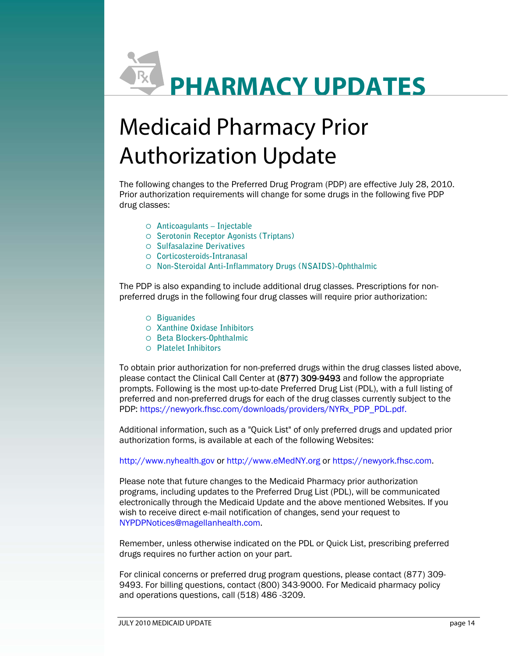# **PHARMACY UPDATES**

# Medicaid Pharmacy Prior Authorization Update

 drug classes: The following changes to the Preferred Drug Program (PDP) are effective July 28, 2010. Prior authorization requirements will change for some drugs in the following five PDP

- { **Anticoagulants Injectable**
- { **Serotonin Receptor Agonists (Triptans)**
- { **Sulfasalazine Derivatives**
- { **Corticosteroids-Intranasal**
- { **Non-Steroidal Anti-Inflammatory Drugs (NSAIDS)-Ophthalmic**

The PDP is also expanding to include additional drug classes. Prescriptions for nonpreferred drugs in the following four drug classes will require prior authorization:

- { **Biguanides**
- { **Xanthine Oxidase Inhibitors**
- { **Beta Blockers-Ophthalmic**
- { **Platelet Inhibitors**

To obtain prior authorization for non-preferred drugs within the drug classes listed above, please contact the Clinical Call Center at (877) 309-9493 and follow the appropriate prompts. Following is the most up-to-date Preferred Drug List (PDL), with a full listing of preferred and non-preferred drugs for each of the drug classes currently subject to the PDP: https://newyork.fhsc.com/downloads/providers/NYRx\_PDP\_PDL.pdf.

Additional information, such as a "Quick List" of only preferred drugs and updated prior authorization forms, is available at each of the following Websites:

http://www.nyhealth.gov or http://www.eMedNY.org or https://newyork.fhsc.com.

Please note that future changes to the Medicaid Pharmacy prior authorization programs, including updates to the Preferred Drug List (PDL), will be communicated electronically through the Medicaid Update and the above mentioned Websites. If you wish to receive direct e-mail notification of changes, send your request to NYPDPNotices@magellanhealth.com.

Remember, unless otherwise indicated on the PDL or Quick List, prescribing preferred drugs requires no further action on your part.

For clinical concerns or preferred drug program questions, please contact (877) 309 9493. For billing questions, contact (800) 343-9000. For Medicaid pharmacy policy and operations questions, call (518) 486 -3209.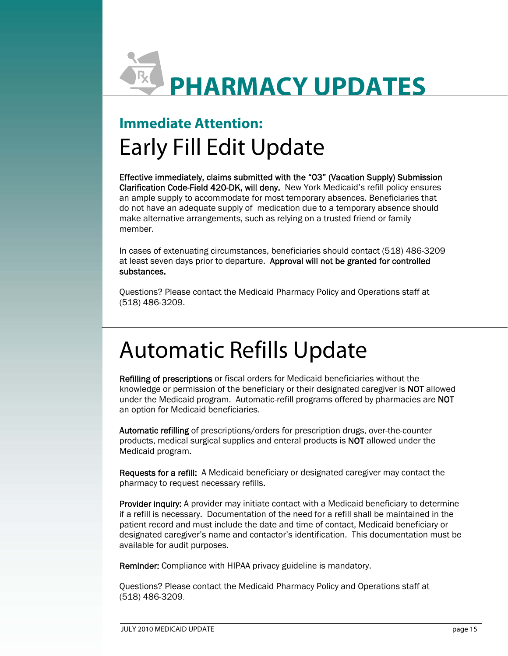

## **Immediate Attention:** Early Fill Edit Update

Effective immediately, claims submitted with the "03" (Vacation Supply) Submission Clarification Code-Field 420-DK, will deny. New York Medicaid's refill policy ensures an ample supply to accommodate for most temporary absences. Beneficiaries that do not have an adequate supply of medication due to a temporary absence should make alternative arrangements, such as relying on a trusted friend or family member.

In cases of extenuating circumstances, beneficiaries should contact (518) 486-3209 at least seven days prior to departure. Approval will not be granted for controlled substances.

Questions? Please contact the Medicaid Pharmacy Policy and Operations staff at (518) 486-3209.

## Automatic Refills Update

Refilling of prescriptions or fiscal orders for Medicaid beneficiaries without the knowledge or permission of the beneficiary or their designated caregiver is NOT allowed under the Medicaid program. Automatic-refill programs offered by pharmacies are NOT an option for Medicaid beneficiaries.

Automatic refilling of prescriptions/orders for prescription drugs, over-the-counter products, medical surgical supplies and enteral products is NOT allowed under the Medicaid program.

Requests for a refill: A Medicaid beneficiary or designated caregiver may contact the pharmacy to request necessary refills.

**Provider inquiry:** A provider may initiate contact with a Medicaid beneficiary to determine if a refill is necessary. Documentation of the need for a refill shall be maintained in the patient record and must include the date and time of contact, Medicaid beneficiary or designated caregiver's name and contactor's identification. This documentation must be available for audit purposes.

Reminder: Compliance with HIPAA privacy guideline is mandatory.

Questions? Please contact the Medicaid Pharmacy Policy and Operations staff at (518) 486-3209.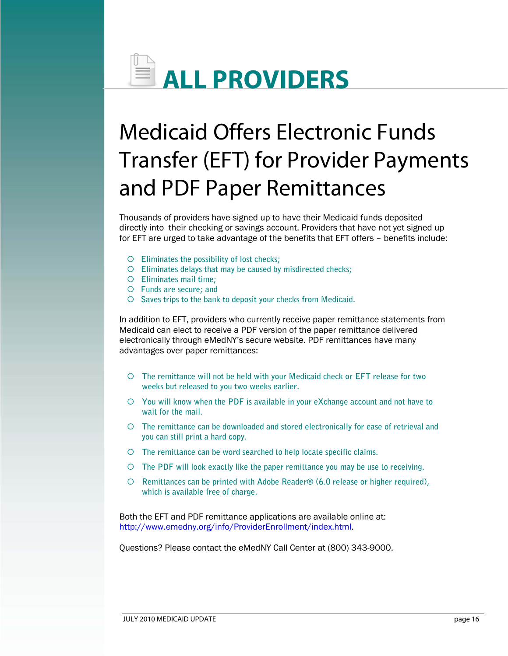

## Medicaid Offers Electronic Funds Transfer (EFT) for Provider Payments and PDF Paper Remittances

Thousands of providers have signed up to have their Medicaid funds deposited directly into their checking or savings account. Providers that have not yet signed up for EFT are urged to take advantage of the benefits that EFT offers – benefits include:

- { **Eliminates the possibility of lost checks;**
- { **Eliminates delays that may be caused by misdirected checks;**
- { **Eliminates mail time;**
- { **Funds are secure; and**
- { **Saves trips to the bank to deposit your checks from Medicaid.**

In addition to EFT, providers who currently receive paper remittance statements from Medicaid can elect to receive a PDF version of the paper remittance delivered electronically through eMedNY's secure website. PDF remittances have many advantages over paper remittances:

- $\circ$  The remittance will not be held with your Medicaid check or EFT release for two **weeks but released to you two weeks earlier.**
- $\circ$  **You will know when the PDF is available in your eXchange account and not have to wait for the mail.**
- $\circ$  The remittance can be downloaded and stored electronically for ease of retrieval and **you can still print a hard copy.**
- { **The remittance can be word searched to help locate specific claims.**
- ${\circ}$  The PDF will look exactly like the paper remittance you may be use to receiving.
- { **Remittances can be printed with Adobe Reader® (6.0 release or higher required), which is available free of charge.**

Both the EFT and PDF remittance applications are available online at: http://www.emedny.org/info/ProviderEnrollment/index.html.

Questions? Please contact the eMedNY Call Center at (800) 343-9000.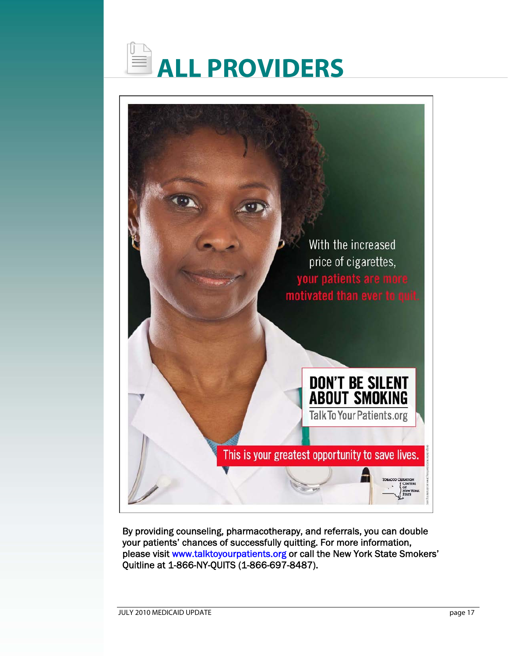



 Quitline at 1-866-NY-QUITS (1-866-697-8487). By providing counseling, pharmacotherapy, and referrals, you can double your patients' chances of successfully quitting. For more information, please visit www.talktoyourpatients.org or call the New York State Smokers'